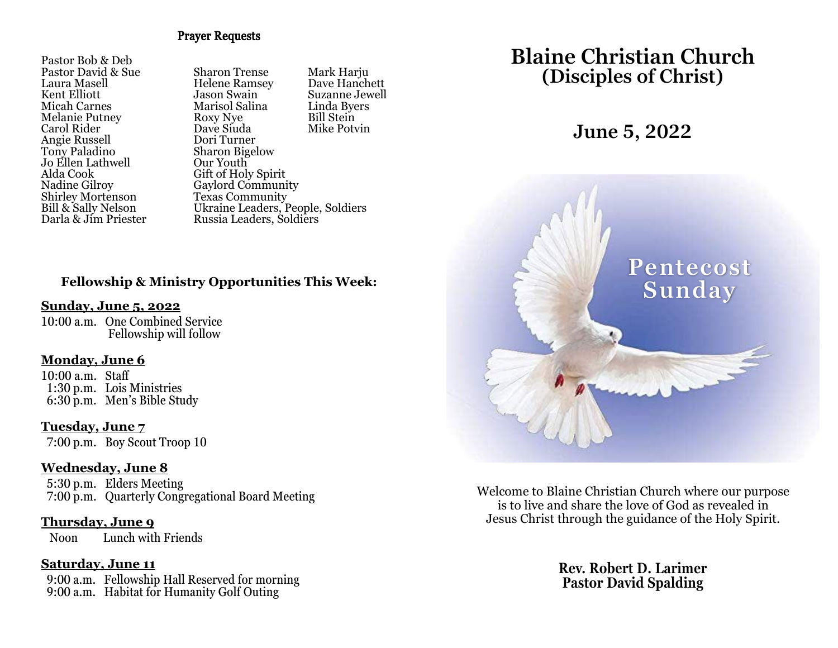#### Prayer Requests

Pastor Bob & Deb Laura Masell Helene Ramsey Dave Hanchett Angie Russell<br>Tony Paladino Jo Ellen Lathwell<br>Alda Cook Alda Cook Gift of Holy Spirit Shirley Mortenson<br>Bill & Sally Nelson

Pastor David & Sue Sharon Trense Mark Harju Jason Swain Suzanne Jewell<br>Marisol Salina Linda Byers Micah Carnes Marisol Salina Linda Byers Melanie Putney Roxy Nye Bill Stein Dave Siuda<br>Dori Turner Sharon Bigelow<br>Our Youth Gaylord Community<br>Texas Community Bill & Sally Nelson<br>
Darla & Jim Priester Russia Leaders, Soldiers<br>
Russia Leaders, Soldiers Russia Leaders, Soldiers

## **Fellowship & Ministry Opportunities This Week:**

#### **Sunday, June 5, 2022**

10:00 a.m. One Combined Service Fellowship will follow

#### **Monday, June 6**

10:00 a.m. Staff 1:30 p.m. Lois Ministries 6:30 p.m. Men's Bible Study

#### **Tuesday, June 7**

7:00 p.m. Boy Scout Troop 10

#### **Wednesday, June 8**

 5:30 p.m. Elders Meeting 7:00 p.m. Quarterly Congregational Board Meeting

### **Thursday, June 9**

Noon Lunch with Friends

#### **Saturday, June 11**

 9:00 a.m. Fellowship Hall Reserved for morning 9:00 a.m. Habitat for Humanity Golf Outing

# **Blaine Christian Church (Disciples of Christ)**

# **June 5, 2022**



Welcome to Blaine Christian Church where our purpose is to live and share the love of God as revealed in Jesus Christ through the guidance of the Holy Spirit.

> **Rev. Robert D. Larimer Pastor David Spalding**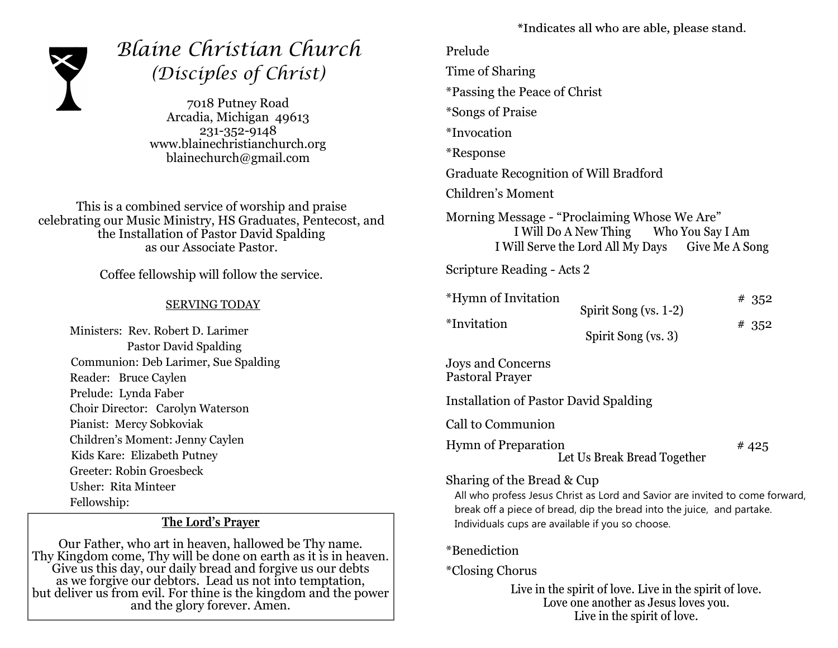

# *Blaine Christian Church (Disciples of Christ)*

7018 Putney Road Arcadia, Michigan 49613 231-352-9148 www.blainechristianchurch.org blainechurch@gmail.com

This is a combined service of worship and praise celebrating our Music Ministry, HS Graduates, Pentecost, and the Installation of Pastor David Spalding as our Associate Pastor.

Coffee fellowship will follow the service.

#### SERVING TODAY

 Ministers: Rev. Robert D. Larimer Pastor David Spalding Communion: Deb Larimer, Sue Spalding Reader: Bruce Caylen Prelude: Lynda Faber Choir Director: Carolyn Waterson Pianist: Mercy Sobkoviak Children's Moment: Jenny Caylen Kids Kare: Elizabeth Putney Greeter: Robin Groesbeck Usher: Rita Minteer Fellowship:

## **The Lord's Prayer**

Our Father, who art in heaven, hallowed be Thy name. Thy Kingdom come, Thy will be done on earth as it is in heaven. Give us this day, our daily bread and forgive us our debts as we forgive our debtors. Lead us not into temptation, but deliver us from evil. For thine is the kingdom and the power and the glory forever. Amen.

\*Indicates all who are able, please stand.

| Prelude                                                                                                                                                                                                                                  |                                                                           |                  |
|------------------------------------------------------------------------------------------------------------------------------------------------------------------------------------------------------------------------------------------|---------------------------------------------------------------------------|------------------|
| Time of Sharing                                                                                                                                                                                                                          |                                                                           |                  |
| <i>*Passing the Peace of Christ</i>                                                                                                                                                                                                      |                                                                           |                  |
| *Songs of Praise                                                                                                                                                                                                                         |                                                                           |                  |
| <i>*Invocation</i>                                                                                                                                                                                                                       |                                                                           |                  |
| <i>*</i> Response                                                                                                                                                                                                                        |                                                                           |                  |
| <b>Graduate Recognition of Will Bradford</b>                                                                                                                                                                                             |                                                                           |                  |
| Children's Moment                                                                                                                                                                                                                        |                                                                           |                  |
| Morning Message - "Proclaiming Whose We Are"                                                                                                                                                                                             | I Will Do A New Thing<br>I Will Serve the Lord All My Days Give Me A Song | Who You Say I Am |
| Scripture Reading - Acts 2                                                                                                                                                                                                               |                                                                           |                  |
| *Hymn of Invitation<br>*Invitation                                                                                                                                                                                                       | Spirit Song (vs. 1-2)<br>Spirit Song (vs. 3)                              | #352<br>#352     |
| Joys and Concerns<br><b>Pastoral Prayer</b>                                                                                                                                                                                              |                                                                           |                  |
| <b>Installation of Pastor David Spalding</b>                                                                                                                                                                                             |                                                                           |                  |
| Call to Communion                                                                                                                                                                                                                        |                                                                           |                  |
| <b>Hymn of Preparation</b>                                                                                                                                                                                                               | Let Us Break Bread Together                                               | #425             |
| Sharing of the Bread & Cup<br>All who profess Jesus Christ as Lord and Savior are invited to come forward,<br>break off a piece of bread, dip the bread into the juice, and partake.<br>Individuals cups are available if you so choose. |                                                                           |                  |
| *Benediction                                                                                                                                                                                                                             |                                                                           |                  |

\*Closing Chorus

Live in the spirit of love. Live in the spirit of love. Love one another as Jesus loves you. Live in the spirit of love.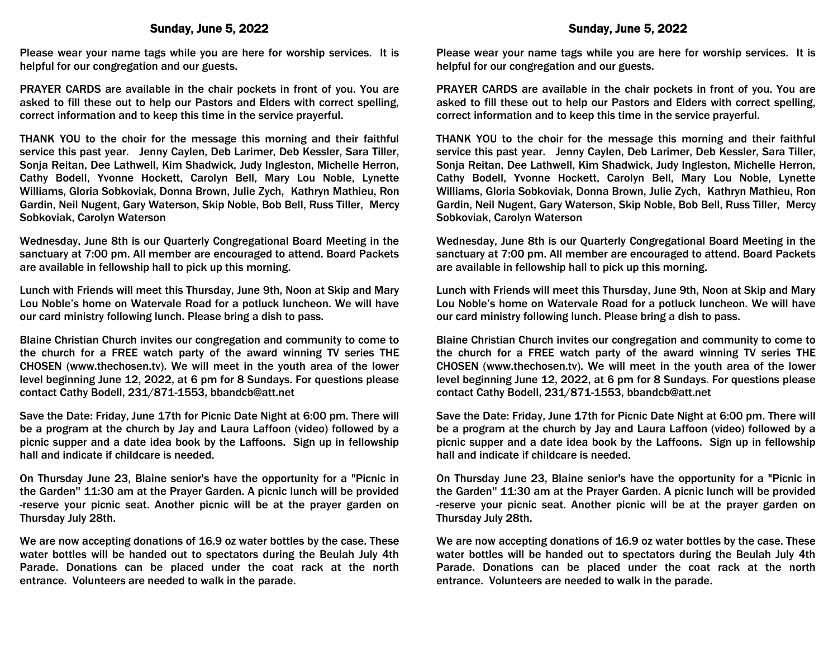Please wear your name tags while you are here for worship services. It is helpful for our congregation and our guests.

PRAYER CARDS are available in the chair pockets in front of you. You are asked to fill these out to help our Pastors and Elders with correct spelling, correct information and to keep this time in the service prayerful.

THANK YOU to the choir for the message this morning and their faithful service this past year. Jenny Caylen, Deb Larimer, Deb Kessler, Sara Tiller, Sonja Reitan, Dee Lathwell, Kim Shadwick, Judy Ingleston, Michelle Herron, Cathy Bodell, Yvonne Hockett, Carolyn Bell, Mary Lou Noble, Lynette Williams, Gloria Sobkoviak, Donna Brown, Julie Zych, Kathryn Mathieu, Ron Gardin, Neil Nugent, Gary Waterson, Skip Noble, Bob Bell, Russ Tiller, Mercy Sobkoviak, Carolyn Waterson

Wednesday, June 8th is our Quarterly Congregational Board Meeting in the sanctuary at 7:00 pm. All member are encouraged to attend. Board Packets are available in fellowship hall to pick up this morning.

Lunch with Friends will meet this Thursday, June 9th, Noon at Skip and Mary Lou Noble's home on Watervale Road for a potluck luncheon. We will have our card ministry following lunch. Please bring a dish to pass.

Blaine Christian Church invites our congregation and community to come to the church for a FREE watch party of the award winning TV series THE CHOSEN (www.thechosen.tv). We will meet in the youth area of the lower level beginning June 12, 2022, at 6 pm for 8 Sundays. For questions please contact Cathy Bodell, 231/871-1553, bbandcb@att.net

Save the Date: Friday, June 17th for Picnic Date Night at 6:00 pm. There will be a program at the church by Jay and Laura Laffoon (video) followed by a picnic supper and a date idea book by the Laffoons. Sign up in fellowship hall and indicate if childcare is needed.

On Thursday June 23, Blaine senior's have the opportunity for a "Picnic in the Garden'' 11:30 am at the Prayer Garden. A picnic lunch will be provided -reserve your picnic seat. Another picnic will be at the prayer garden on Thursday July 28th.

We are now accepting donations of 16.9 oz water bottles by the case. These water bottles will be handed out to spectators during the Beulah July 4th Parade. Donations can be placed under the coat rack at the north entrance. Volunteers are needed to walk in the parade.

Please wear your name tags while you are here for worship services. It is helpful for our congregation and our guests.

PRAYER CARDS are available in the chair pockets in front of you. You are asked to fill these out to help our Pastors and Elders with correct spelling, correct information and to keep this time in the service prayerful.

THANK YOU to the choir for the message this morning and their faithful service this past year. Jenny Caylen, Deb Larimer, Deb Kessler, Sara Tiller, Sonja Reitan, Dee Lathwell, Kim Shadwick, Judy Ingleston, Michelle Herron, Cathy Bodell, Yvonne Hockett, Carolyn Bell, Mary Lou Noble, Lynette Williams, Gloria Sobkoviak, Donna Brown, Julie Zych, Kathryn Mathieu, Ron Gardin, Neil Nugent, Gary Waterson, Skip Noble, Bob Bell, Russ Tiller, Mercy Sobkoviak, Carolyn Waterson

Wednesday, June 8th is our Quarterly Congregational Board Meeting in the sanctuary at 7:00 pm. All member are encouraged to attend. Board Packets are available in fellowship hall to pick up this morning.

Lunch with Friends will meet this Thursday, June 9th, Noon at Skip and Mary Lou Noble's home on Watervale Road for a potluck luncheon. We will have our card ministry following lunch. Please bring a dish to pass.

Blaine Christian Church invites our congregation and community to come to the church for a FREE watch party of the award winning TV series THE CHOSEN (www.thechosen.tv). We will meet in the youth area of the lower level beginning June 12, 2022, at 6 pm for 8 Sundays. For questions please contact Cathy Bodell, 231/871-1553, bbandcb@att.net

Save the Date: Friday, June 17th for Picnic Date Night at 6:00 pm. There will be a program at the church by Jay and Laura Laffoon (video) followed by a picnic supper and a date idea book by the Laffoons. Sign up in fellowship hall and indicate if childcare is needed.

On Thursday June 23, Blaine senior's have the opportunity for a "Picnic in the Garden'' 11:30 am at the Prayer Garden. A picnic lunch will be provided -reserve your picnic seat. Another picnic will be at the prayer garden on Thursday July 28th.

We are now accepting donations of 16.9 oz water bottles by the case. These water bottles will be handed out to spectators during the Beulah July 4th Parade. Donations can be placed under the coat rack at the north entrance. Volunteers are needed to walk in the parade.